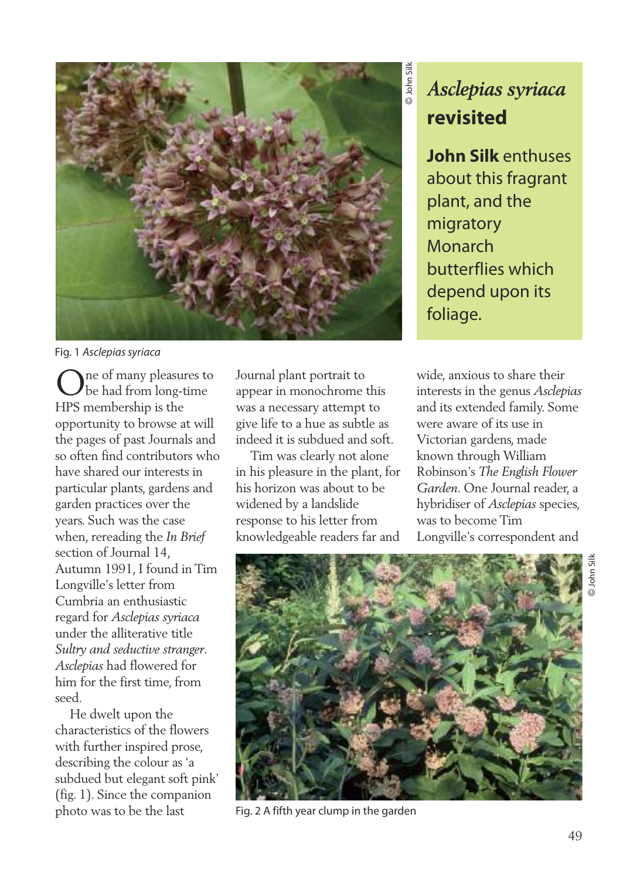

Fig. 1 Asclepias syriaca

One of many pleasures to be had from long-time HPS membership is the opportunity to browse at will the pages of past Journals and so often find contributors who have shared our interests in particular plants, gardens and garden practices over the years. Such was the case when, rereading the *In Brief* section of Journal 14, Autumn 1991, I found in Tim Longville's letter from Cumbria an enthusiastic regard for *Asclepias syriaca* under the alliterative title *Sultry and seductive stranger*. *Asclepias* had flowered for him for the first time, from seed.

He dwelt upon the characteristics of the flowers with further inspired prose, describing the colour as 'a subdued but elegant soft pink' (fig. 1). Since the companion photo was to be the last

Journal plant portrait to appear in monochrome this was a necessary attempt to give life to a hue as subtle as indeed it is subdued and soft.

Tim was clearly not alone in his pleasure in the plant, for his horizon was about to be widened by a landslide response to his letter from knowledgeable readers far and

## *Asclepias syriaca* **revisited**

**John Silk** enthuses about this fragrant plant, and the migratory Monarch butterflies which depend upon its foliage.

wide, anxious to share their interests in the genus *Asclepias* and its extended family. Some were aware of its use in Victorian gardens, made known through William Robinson's *The English Flower Garden*. One Journal reader, a hybridiser of *Asclepias* species, was to become Tim Longville's correspondent and



Fig. 2 A fifth year clump in the garden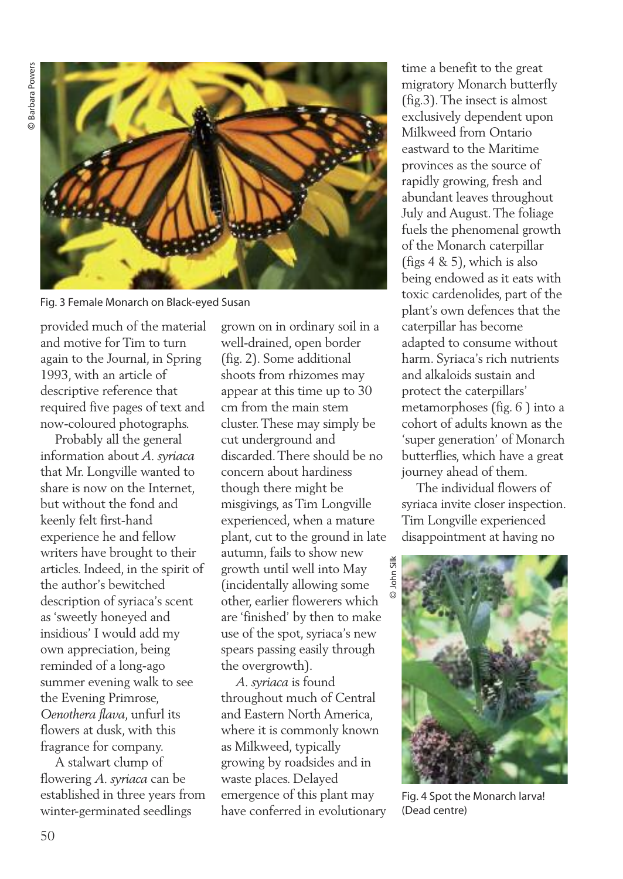

Fig. 3 Female Monarch on Black-eyed Susan

provided much of the material and motive for Tim to turn again to the Journal, in Spring 1993, with an article of descriptive reference that required five pages of text and now-coloured photographs.

Probably all the general information about *A. syriaca* that Mr. Longville wanted to share is now on the Internet, but without the fond and keenly felt first-hand experience he and fellow writers have brought to their articles. Indeed, in the spirit of the author's bewitched description of syriaca's scent as 'sweetly honeyed and insidious' I would add my own appreciation, being reminded of a long-ago summer evening walk to see the Evening Primrose, *Oenothera flava*, unfurl its flowers at dusk, with this fragrance for company.

A stalwart clump of flowering *A. syriaca* can be established in three years from winter-germinated seedlings

grown on in ordinary soil in a well-drained, open border (fig. 2). Some additional shoots from rhizomes may appear at this time up to 30 cm from the main stem cluster.These may simply be cut underground and discarded.There should be no concern about hardiness though there might be misgivings, as Tim Longville experienced, when a mature plant, cut to the ground in late autumn, fails to show new growth until well into May (incidentally allowing some other, earlier flowerers which are 'finished' by then to make use of the spot, syriaca's new spears passing easily through the overgrowth).

*A. syriaca* is found throughout much of Central and Eastern North America, where it is commonly known as Milkweed, typically growing by roadsides and in waste places. Delayed emergence of this plant may have conferred in evolutionary time a benefit to the great migratory Monarch butterfly (fig.3).The insect is almost exclusively dependent upon Milkweed from Ontario eastward to the Maritime provinces as the source of rapidly growing, fresh and abundant leaves throughout July and August.The foliage fuels the phenomenal growth of the Monarch caterpillar (figs 4 & 5), which is also being endowed as it eats with toxic cardenolides, part of the plant's own defences that the caterpillar has become adapted to consume without harm. Syriaca's rich nutrients and alkaloids sustain and protect the caterpillars' metamorphoses (fig. 6 ) into a cohort of adults known as the 'super generation' of Monarch butterflies, which have a great journey ahead of them.

The individual flowers of syriaca invite closer inspection. Tim Longville experienced disappointment at having no



Fig. 4 Spot the Monarch larva! (Dead centre)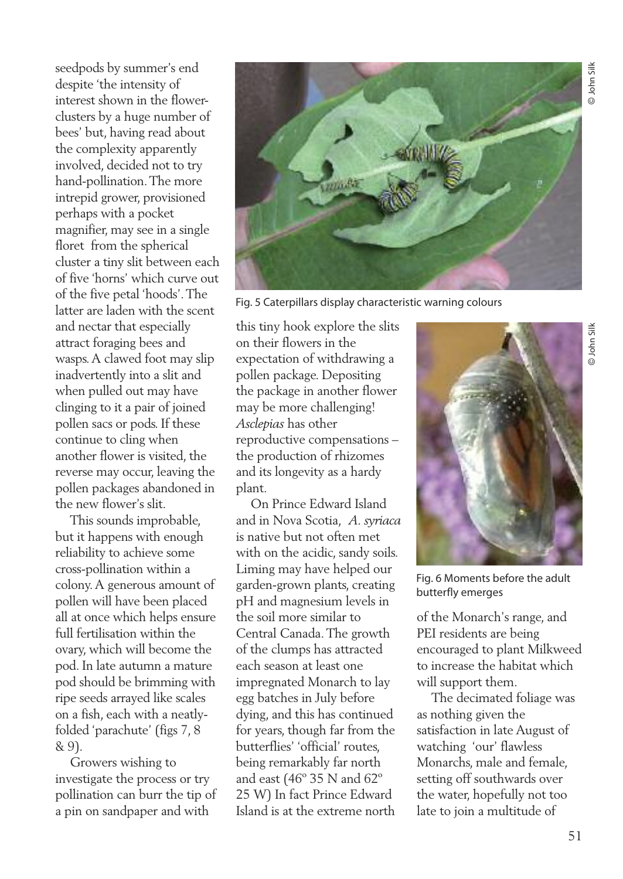seedpods by summer's end despite 'the intensity of interest shown in the flowerclusters by a huge number of bees' but, having read about the complexity apparently involved, decided not to try hand-pollination.The more intrepid grower, provisioned perhaps with a pocket magnifier, may see in a single floret from the spherical cluster a tiny slit between each of five 'horns' which curve out of the five petal 'hoods'.The latter are laden with the scent and nectar that especially attract foraging bees and wasps.A clawed foot may slip inadvertently into a slit and when pulled out may have clinging to it a pair of joined pollen sacs or pods. If these continue to cling when another flower is visited, the reverse may occur, leaving the pollen packages abandoned in the new flower's slit.

This sounds improbable, but it happens with enough reliability to achieve some cross-pollination within a colony.A generous amount of pollen will have been placed all at once which helps ensure full fertilisation within the ovary, which will become the pod. In late autumn a mature pod should be brimming with ripe seeds arrayed like scales on a fish, each with a neatlyfolded 'parachute' (figs 7, 8 & 9).

Growers wishing to investigate the process or try pollination can burr the tip of a pin on sandpaper and with



Fig. 5 Caterpillars display characteristic warning colours

this tiny hook explore the slits on their flowers in the expectation of withdrawing a pollen package. Depositing the package in another flower may be more challenging! *Asclepias* has other reproductive compensations – the production of rhizomes and its longevity as a hardy plant.

On Prince Edward Island and in Nova Scotia, *A. syriaca* is native but not often met with on the acidic, sandy soils. Liming may have helped our garden-grown plants, creating pH and magnesium levels in the soil more similar to Central Canada.The growth of the clumps has attracted each season at least one impregnated Monarch to lay egg batches in July before dying, and this has continued for years, though far from the butterflies' 'official' routes, being remarkably far north and east (46º 35 N and 62º 25 W) In fact Prince Edward Island is at the extreme north



Fig. 6 Moments before the adult butterfly emerges

of the Monarch's range, and PEI residents are being encouraged to plant Milkweed to increase the habitat which will support them.

The decimated foliage was as nothing given the satisfaction in late August of watching 'our' flawless Monarchs, male and female, setting off southwards over the water, hopefully not too late to join a multitude of